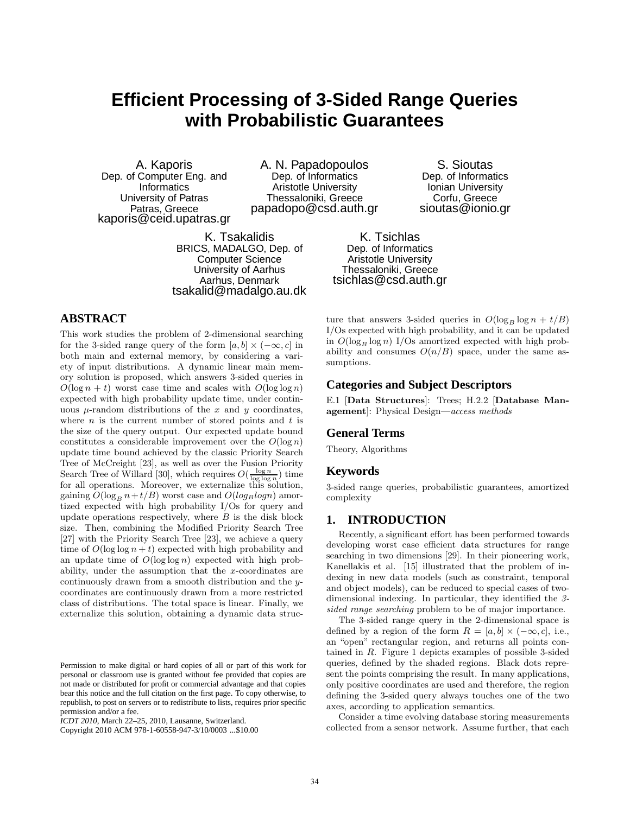# **Efficient Processing of 3-Sided Range Queries with Probabilistic Guarantees**

A. Kaporis Dep. of Computer Eng. and **Informatics** University of Patras Patras, Greece kaporis@ceid.upatras.gr

A. N. Papadopoulos Dep. of Informatics Aristotle University Thessaloniki, Greece papadopo@csd.auth.gr

K. Tsakalidis BRICS, MADALGO, Dep. of Computer Science University of Aarhus Aarhus, Denmark tsakalid@madalgo.au.dk

# **ABSTRACT**

This work studies the problem of 2-dimensional searching for the 3-sided range query of the form  $[a, b] \times (-\infty, c]$  in both main and external memory, by considering a variety of input distributions. A dynamic linear main memory solution is proposed, which answers 3-sided queries in  $O(\log n + t)$  worst case time and scales with  $O(\log \log n)$ expected with high probability update time, under continuous  $\mu$ -random distributions of the x and y coordinates, where  $n$  is the current number of stored points and  $t$  is the size of the query output. Our expected update bound constitutes a considerable improvement over the  $O(\log n)$ update time bound achieved by the classic Priority Search Tree of McCreight [23], as well as over the Fusion Priority Search Tree of Willard [30], which requires  $O(\frac{\log n}{\log \log n})$  time for all operations. Moreover, we externalize this solution, gaining  $O(\log_B n+t/B)$  worst case and  $O(log_B log n)$  amortized expected with high probability I/Os for query and update operations respectively, where  $B$  is the disk block size. Then, combining the Modified Priority Search Tree [27] with the Priority Search Tree [23], we achieve a query time of  $O(\log \log n + t)$  expected with high probability and an update time of  $O(\log \log n)$  expected with high probability, under the assumption that the  $x$ -coordinates are continuously drawn from a smooth distribution and the ycoordinates are continuously drawn from a more restricted class of distributions. The total space is linear. Finally, we externalize this solution, obtaining a dynamic data struc-

*ICDT 2010*, March 22–25, 2010, Lausanne, Switzerland.

S. Sioutas Dep. of Informatics Ionian University Corfu, Greece sioutas@ionio.gr

K. Tsichlas Dep. of Informatics Aristotle University Thessaloniki, Greece tsichlas@csd.auth.gr

ture that answers 3-sided queries in  $O(\log_B \log n + t/B)$ I/Os expected with high probability, and it can be updated in  $O(\log_B \log n)$  I/Os amortized expected with high probability and consumes  $O(n/B)$  space, under the same assumptions.

## **Categories and Subject Descriptors**

E.1 [Data Structures]: Trees; H.2.2 [Database Management]: Physical Design—access methods

#### **General Terms**

Theory, Algorithms

#### **Keywords**

3-sided range queries, probabilistic guarantees, amortized complexity

## **1. INTRODUCTION**

Recently, a significant effort has been performed towards developing worst case efficient data structures for range searching in two dimensions [29]. In their pioneering work, Kanellakis et al. [15] illustrated that the problem of indexing in new data models (such as constraint, temporal and object models), can be reduced to special cases of twodimensional indexing. In particular, they identified the 3 sided range searching problem to be of major importance.

The 3-sided range query in the 2-dimensional space is defined by a region of the form  $R = [a, b] \times (-\infty, c]$ , i.e., an "open" rectangular region, and returns all points contained in R. Figure 1 depicts examples of possible 3-sided queries, defined by the shaded regions. Black dots represent the points comprising the result. In many applications, only positive coordinates are used and therefore, the region defining the 3-sided query always touches one of the two axes, according to application semantics.

Consider a time evolving database storing measurements collected from a sensor network. Assume further, that each

Permission to make digital or hard copies of all or part of this work for personal or classroom use is granted without fee provided that copies are not made or distributed for profit or commercial advantage and that copies bear this notice and the full citation on the first page. To copy otherwise, to republish, to post on servers or to redistribute to lists, requires prior specific permission and/or a fee.

Copyright 2010 ACM 978-1-60558-947-3/10/0003 ...\$10.00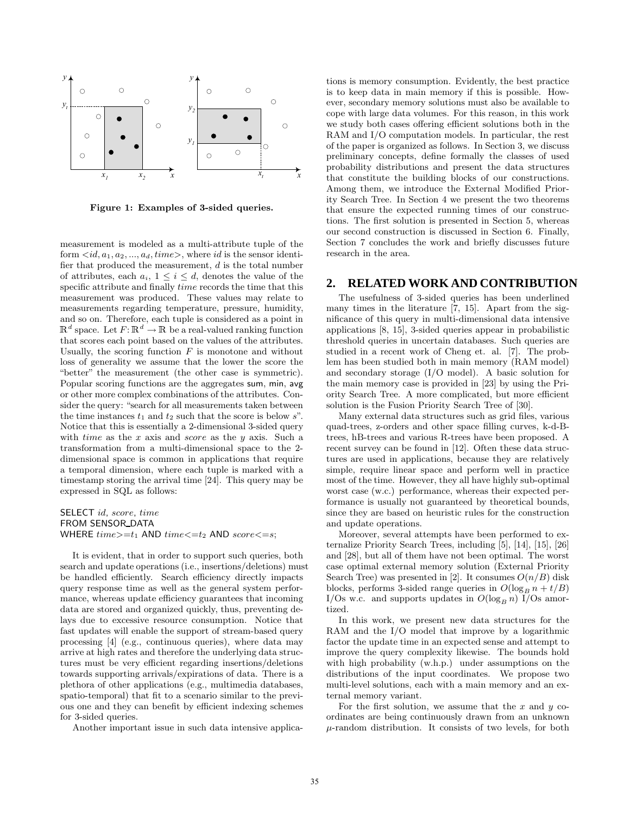

Figure 1: Examples of 3-sided queries.

measurement is modeled as a multi-attribute tuple of the form  $\langle id, a_1, a_2, ..., a_d, time \rangle$ , where id is the sensor identifier that produced the measurement,  $d$  is the total number of attributes, each  $a_i$ ,  $1 \leq i \leq d$ , denotes the value of the specific attribute and finally time records the time that this measurement was produced. These values may relate to measurements regarding temperature, pressure, humidity, and so on. Therefore, each tuple is considered as a point in  $\mathbb{R}^d$  space. Let  $F: \mathbb{R}^d \to \mathbb{R}$  be a real-valued ranking function that scores each point based on the values of the attributes. Usually, the scoring function  $F$  is monotone and without loss of generality we assume that the lower the score the "better" the measurement (the other case is symmetric). Popular scoring functions are the aggregates sum, min, avg or other more complex combinations of the attributes. Consider the query: "search for all measurements taken between the time instances  $t_1$  and  $t_2$  such that the score is below s". Notice that this is essentially a 2-dimensional 3-sided query with *time* as the x axis and *score* as the y axis. Such a transformation from a multi-dimensional space to the 2 dimensional space is common in applications that require a temporal dimension, where each tuple is marked with a timestamp storing the arrival time [24]. This query may be expressed in SQL as follows:

SELECT id, score, time FROM SENSOR\_DATA WHERE  $time>=t_1$  AND  $time<=t_2$  AND  $score<=s$ ;

It is evident, that in order to support such queries, both search and update operations (i.e., insertions/deletions) must be handled efficiently. Search efficiency directly impacts query response time as well as the general system performance, whereas update efficiency guarantees that incoming data are stored and organized quickly, thus, preventing delays due to excessive resource consumption. Notice that fast updates will enable the support of stream-based query processing [4] (e.g., continuous queries), where data may arrive at high rates and therefore the underlying data structures must be very efficient regarding insertions/deletions towards supporting arrivals/expirations of data. There is a plethora of other applications (e.g., multimedia databases, spatio-temporal) that fit to a scenario similar to the previous one and they can benefit by efficient indexing schemes for 3-sided queries.

Another important issue in such data intensive applica-

tions is memory consumption. Evidently, the best practice is to keep data in main memory if this is possible. However, secondary memory solutions must also be available to cope with large data volumes. For this reason, in this work we study both cases offering efficient solutions both in the RAM and I/O computation models. In particular, the rest of the paper is organized as follows. In Section 3, we discuss preliminary concepts, define formally the classes of used probability distributions and present the data structures that constitute the building blocks of our constructions. Among them, we introduce the External Modified Priority Search Tree. In Section 4 we present the two theorems that ensure the expected running times of our constructions. The first solution is presented in Section 5, whereas our second construction is discussed in Section 6. Finally, Section 7 concludes the work and briefly discusses future research in the area.

## **2. RELATED WORK AND CONTRIBUTION**

The usefulness of 3-sided queries has been underlined many times in the literature [7, 15]. Apart from the significance of this query in multi-dimensional data intensive applications [8, 15], 3-sided queries appear in probabilistic threshold queries in uncertain databases. Such queries are studied in a recent work of Cheng et. al. [7]. The problem has been studied both in main memory (RAM model) and secondary storage (I/O model). A basic solution for the main memory case is provided in [23] by using the Priority Search Tree. A more complicated, but more efficient solution is the Fusion Priority Search Tree of [30].

Many external data structures such as grid files, various quad-trees, z-orders and other space filling curves, k-d-Btrees, hB-trees and various R-trees have been proposed. A recent survey can be found in [12]. Often these data structures are used in applications, because they are relatively simple, require linear space and perform well in practice most of the time. However, they all have highly sub-optimal worst case (w.c.) performance, whereas their expected performance is usually not guaranteed by theoretical bounds, since they are based on heuristic rules for the construction and update operations.

Moreover, several attempts have been performed to externalize Priority Search Trees, including [5], [14], [15], [26] and [28], but all of them have not been optimal. The worst case optimal external memory solution (External Priority Search Tree) was presented in [2]. It consumes  $O(n/B)$  disk blocks, performs 3-sided range queries in  $O(\log_B n + t/B)$ I/Os w.c. and supports updates in  $O(\log_B n)$  I/Os amortized.

In this work, we present new data structures for the RAM and the I/O model that improve by a logarithmic factor the update time in an expected sense and attempt to improve the query complexity likewise. The bounds hold with high probability (w.h.p.) under assumptions on the distributions of the input coordinates. We propose two multi-level solutions, each with a main memory and an external memory variant.

For the first solution, we assume that the  $x$  and  $y$  coordinates are being continuously drawn from an unknown  $\mu$ -random distribution. It consists of two levels, for both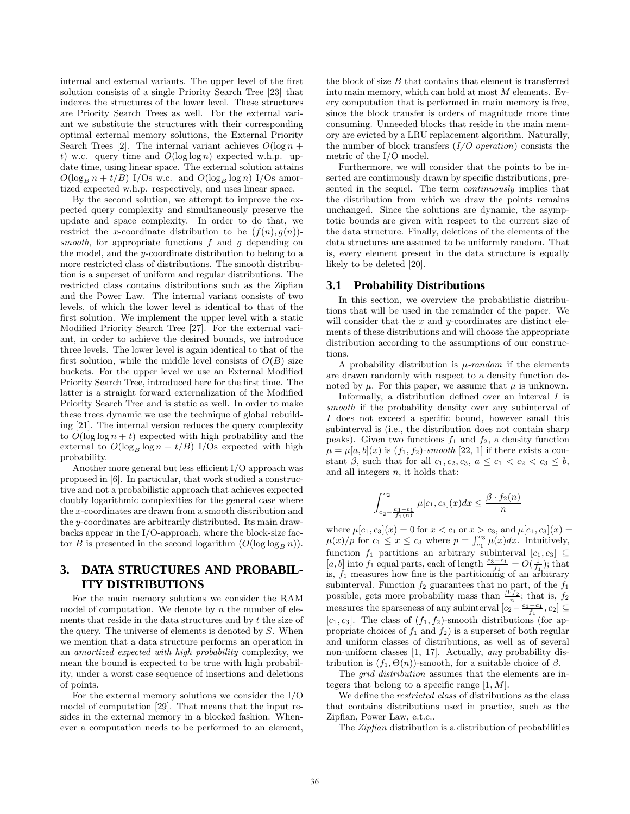internal and external variants. The upper level of the first solution consists of a single Priority Search Tree [23] that indexes the structures of the lower level. These structures are Priority Search Trees as well. For the external variant we substitute the structures with their corresponding optimal external memory solutions, the External Priority Search Trees [2]. The internal variant achieves  $O(\log n +$ t) w.c. query time and  $O(\log \log n)$  expected w.h.p. update time, using linear space. The external solution attains  $O(\log_B n + t/B)$  I/Os w.c. and  $O(\log_B \log n)$  I/Os amortized expected w.h.p. respectively, and uses linear space.

By the second solution, we attempt to improve the expected query complexity and simultaneously preserve the update and space complexity. In order to do that, we restrict the x-coordinate distribution to be  $(f(n), g(n))$ smooth, for appropriate functions  $f$  and  $g$  depending on the model, and the y-coordinate distribution to belong to a more restricted class of distributions. The smooth distribution is a superset of uniform and regular distributions. The restricted class contains distributions such as the Zipfian and the Power Law. The internal variant consists of two levels, of which the lower level is identical to that of the first solution. We implement the upper level with a static Modified Priority Search Tree [27]. For the external variant, in order to achieve the desired bounds, we introduce three levels. The lower level is again identical to that of the first solution, while the middle level consists of  $O(B)$  size buckets. For the upper level we use an External Modified Priority Search Tree, introduced here for the first time. The latter is a straight forward externalization of the Modified Priority Search Tree and is static as well. In order to make these trees dynamic we use the technique of global rebuilding [21]. The internal version reduces the query complexity to  $O(\log \log n + t)$  expected with high probability and the external to  $O(\log_B \log n + t/B)$  I/Os expected with high probability.

Another more general but less efficient I/O approach was proposed in [6]. In particular, that work studied a constructive and not a probabilistic approach that achieves expected doubly logarithmic complexities for the general case where the x-coordinates are drawn from a smooth distribution and the y-coordinates are arbitrarily distributed. Its main drawbacks appear in the I/O-approach, where the block-size factor B is presented in the second logarithm  $(O(\log \log_B n))$ .

# **3. DATA STRUCTURES AND PROBABIL-ITY DISTRIBUTIONS**

For the main memory solutions we consider the RAM model of computation. We denote by  $n$  the number of elements that reside in the data structures and by  $t$  the size of the query. The universe of elements is denoted by S. When we mention that a data structure performs an operation in an amortized expected with high probability complexity, we mean the bound is expected to be true with high probability, under a worst case sequence of insertions and deletions of points.

For the external memory solutions we consider the I/O model of computation [29]. That means that the input resides in the external memory in a blocked fashion. Whenever a computation needs to be performed to an element,

the block of size  $B$  that contains that element is transferred into main memory, which can hold at most  $M$  elements. Every computation that is performed in main memory is free, since the block transfer is orders of magnitude more time consuming. Unneeded blocks that reside in the main memory are evicted by a LRU replacement algorithm. Naturally, the number of block transfers  $(I/O\ operation)$  consists the metric of the I/O model.

Furthermore, we will consider that the points to be inserted are continuously drawn by specific distributions, presented in the sequel. The term continuously implies that the distribution from which we draw the points remains unchanged. Since the solutions are dynamic, the asymptotic bounds are given with respect to the current size of the data structure. Finally, deletions of the elements of the data structures are assumed to be uniformly random. That is, every element present in the data structure is equally likely to be deleted [20].

#### **3.1 Probability Distributions**

In this section, we overview the probabilistic distributions that will be used in the remainder of the paper. We will consider that the  $x$  and  $y$ -coordinates are distinct elements of these distributions and will choose the appropriate distribution according to the assumptions of our constructions.

A probability distribution is  $\mu$ -random if the elements are drawn randomly with respect to a density function denoted by  $\mu$ . For this paper, we assume that  $\mu$  is unknown.

Informally, a distribution defined over an interval  $I$  is smooth if the probability density over any subinterval of I does not exceed a specific bound, however small this subinterval is (i.e., the distribution does not contain sharp peaks). Given two functions  $f_1$  and  $f_2$ , a density function  $\mu = \mu[a, b](x)$  is  $(f_1, f_2)$ -smooth [22, 1] if there exists a constant  $\beta$ , such that for all  $c_1, c_2, c_3, a \leq c_1 < c_2 < c_3 \leq b$ , and all integers  $n$ , it holds that:

$$
\int_{c_2 - \frac{c_3 - c_1}{f_1(n)}}^{c_2} \mu[c_1, c_3](x) dx \le \frac{\beta \cdot f_2(n)}{n}
$$

where  $\mu[c_1, c_3](x) = 0$  for  $x < c_1$  or  $x > c_3$ , and  $\mu[c_1, c_3](x) =$  $\mu(x)/p$  for  $c_1 \leq x \leq c_3$  where  $p = \int_{c_1}^{c_3} \mu(x) dx$ . Intuitively, function  $f_1$  partitions an arbitrary subinterval  $[c_1, c_3] \subseteq$ [a, b] into  $f_1$  equal parts, each of length  $\frac{c_3-c_1}{f_1} = O(\frac{1}{f_1})$ ; that is,  $f_1$  measures how fine is the partitioning of an arbitrary subinterval. Function  $f_2$  guarantees that no part, of the  $f_1$ possible, gets more probability mass than  $\frac{\beta \cdot f_2}{n}$ ; that is,  $f_2$ measures the sparseness of any subinterval  $[c_2 - \frac{c_3 - c_1}{f_1}, c_2] \subseteq$  $[c_1, c_3]$ . The class of  $(f_1, f_2)$ -smooth distributions (for appropriate choices of  $f_1$  and  $f_2$ ) is a superset of both regular and uniform classes of distributions, as well as of several non-uniform classes [1, 17]. Actually, any probability distribution is  $(f_1, \Theta(n))$ -smooth, for a suitable choice of  $\beta$ .

The grid distribution assumes that the elements are integers that belong to a specific range  $[1, M]$ .

We define the restricted class of distributions as the class that contains distributions used in practice, such as the Zipfian, Power Law, e.t.c..

The Zipfian distribution is a distribution of probabilities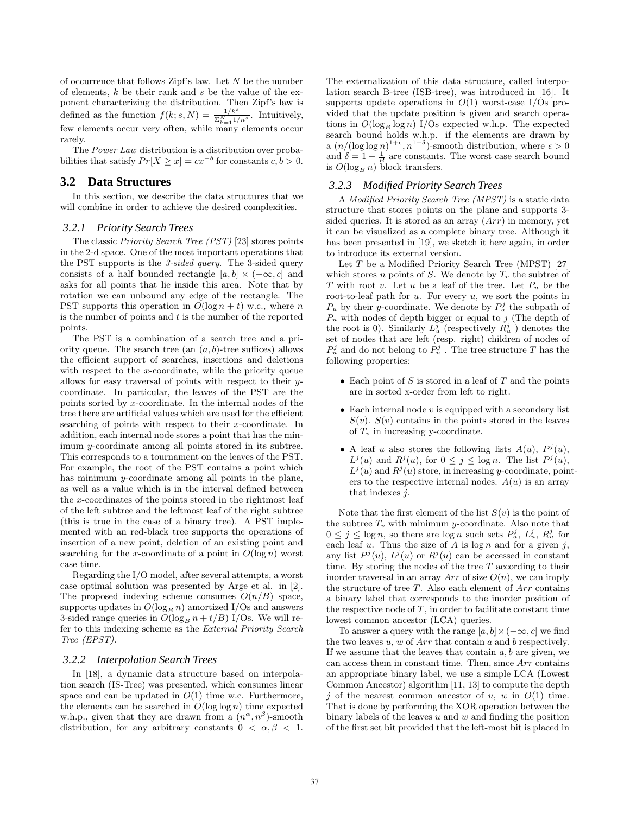of occurrence that follows Zipf's law. Let N be the number of elements, k be their rank and s be the value of the exponent characterizing the distribution. Then Zipf's law is defined as the function  $f(k; s, N) = \frac{1/k^s}{\sum_{k=1}^N 1/n^s}$ . Intuitively, few elements occur very often, while many elements occur rarely.

The *Power Law* distribution is a distribution over probabilities that satisfy  $Pr[X \ge x] = cx^{-b}$  for constants  $c, b > 0$ .

## **3.2 Data Structures**

In this section, we describe the data structures that we will combine in order to achieve the desired complexities.

#### *3.2.1 Priority Search Trees*

The classic Priority Search Tree (PST) [23] stores points in the 2-d space. One of the most important operations that the PST supports is the 3-sided query. The 3-sided query consists of a half bounded rectangle  $[a, b] \times (-\infty, c]$  and asks for all points that lie inside this area. Note that by rotation we can unbound any edge of the rectangle. The PST supports this operation in  $O(\log n + t)$  w.c., where n is the number of points and  $t$  is the number of the reported points.

The PST is a combination of a search tree and a priority queue. The search tree (an  $(a, b)$ -tree suffices) allows the efficient support of searches, insertions and deletions with respect to the  $x$ -coordinate, while the priority queue allows for easy traversal of points with respect to their ycoordinate. In particular, the leaves of the PST are the points sorted by x-coordinate. In the internal nodes of the tree there are artificial values which are used for the efficient searching of points with respect to their x-coordinate. In addition, each internal node stores a point that has the minimum y-coordinate among all points stored in its subtree. This corresponds to a tournament on the leaves of the PST. For example, the root of the PST contains a point which has minimum  $y$ -coordinate among all points in the plane, as well as a value which is in the interval defined between the x-coordinates of the points stored in the rightmost leaf of the left subtree and the leftmost leaf of the right subtree (this is true in the case of a binary tree). A PST implemented with an red-black tree supports the operations of insertion of a new point, deletion of an existing point and searching for the x-coordinate of a point in  $O(\log n)$  worst case time.

Regarding the I/O model, after several attempts, a worst case optimal solution was presented by Arge et al. in [2]. The proposed indexing scheme consumes  $O(n/B)$  space, supports updates in  $O(\log_B n)$  amortized I/Os and answers 3-sided range queries in  $O(\log_B n + t/B)$  I/Os. We will refer to this indexing scheme as the External Priority Search Tree (EPST).

#### *3.2.2 Interpolation Search Trees*

In [18], a dynamic data structure based on interpolation search (IS-Tree) was presented, which consumes linear space and can be updated in  $O(1)$  time w.c. Furthermore, the elements can be searched in  $O(\log \log n)$  time expected w.h.p., given that they are drawn from a  $(n^{\alpha}, n^{\beta})$ -smooth distribution, for any arbitrary constants  $0 < \alpha, \beta < 1$ .

The externalization of this data structure, called interpolation search B-tree (ISB-tree), was introduced in [16]. It supports update operations in  $O(1)$  worst-case I/Os provided that the update position is given and search operations in  $O(\log_B \log n)$  I/Os expected w.h.p. The expected search bound holds w.h.p. if the elements are drawn by a  $(n/(\log \log n)^{1+\epsilon}, n^{1-\delta})$ -smooth distribution, where  $\epsilon > 0$ and  $\delta = 1 - \frac{1}{B}$  are constants. The worst case search bound is  $O(\log_B n)$  block transfers.

## *3.2.3 Modified Priority Search Trees*

A Modified Priority Search Tree (MPST) is a static data structure that stores points on the plane and supports 3 sided queries. It is stored as an array  $(Arr)$  in memory, yet it can be visualized as a complete binary tree. Although it has been presented in [19], we sketch it here again, in order to introduce its external version.

Let  $T$  be a Modified Priority Search Tree (MPST) [27] which stores n points of S. We denote by  $T_v$  the subtree of T with root v. Let u be a leaf of the tree. Let  $P_u$  be the root-to-leaf path for  $u$ . For every  $u$ , we sort the points in  $P_u$  by their y-coordinate. We denote by  $P_u^j$  the subpath of  $P_u$  with nodes of depth bigger or equal to j (The depth of the root is 0). Similarly  $L^j_u$  (respectively  $R^j_u$ ) denotes the set of nodes that are left (resp. right) children of nodes of  $P_u^j$  and do not belong to  $P_u^j$ . The tree structure T has the following properties:

- Each point of  $S$  is stored in a leaf of  $T$  and the points are in sorted x-order from left to right.
- Each internal node  $v$  is equipped with a secondary list  $S(v)$ .  $S(v)$  contains in the points stored in the leaves of  $T_v$  in increasing y-coordinate.
- A leaf u also stores the following lists  $A(u)$ ,  $P<sup>j</sup>(u)$ ,  $L^j(u)$  and  $R^j(u)$ , for  $0 \leq j \leq \log n$ . The list  $P^j(u)$ ,  $L^j(u)$  and  $R^j(u)$  store, in increasing y-coordinate, pointers to the respective internal nodes.  $A(u)$  is an array that indexes j.

Note that the first element of the list  $S(v)$  is the point of the subtree  $T_v$  with minimum y-coordinate. Also note that  $0 \leq j \leq \log n$ , so there are  $\log n$  such sets  $P_u^j$ ,  $L_u^j$ ,  $R_u^j$  for each leaf u. Thus the size of A is  $\log n$  and for a given j, any list  $P^j(u)$ ,  $L^j(u)$  or  $R^j(u)$  can be accessed in constant time. By storing the nodes of the tree  $T$  according to their inorder traversal in an array  $Arr$  of size  $O(n)$ , we can imply the structure of tree  $T$ . Also each element of  $Arr$  contains a binary label that corresponds to the inorder position of the respective node of  $T$ , in order to facilitate constant time lowest common ancestor (LCA) queries.

To answer a query with the range  $[a, b] \times (-\infty, c]$  we find the two leaves  $u, w$  of  $Arr$  that contain  $a$  and  $b$  respectively. If we assume that the leaves that contain  $a, b$  are given, we can access them in constant time. Then, since Arr contains an appropriate binary label, we use a simple LCA (Lowest Common Ancestor) algorithm [11, 13] to compute the depth j of the nearest common ancestor of u, w in  $O(1)$  time. That is done by performing the XOR operation between the binary labels of the leaves  $u$  and  $w$  and finding the position of the first set bit provided that the left-most bit is placed in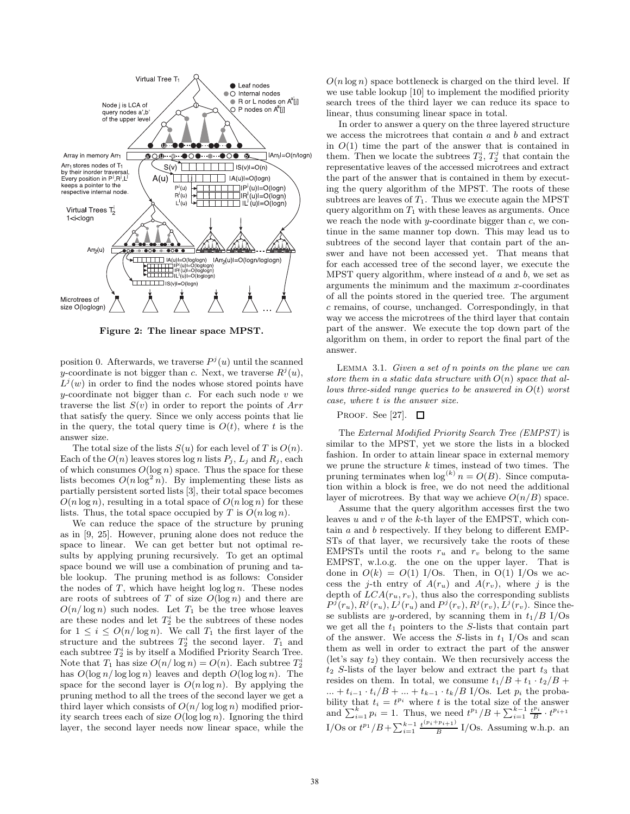

Figure 2: The linear space MPST.

position 0. Afterwards, we traverse  $P^{j}(u)$  until the scanned y-coordinate is not bigger than c. Next, we traverse  $R^j(u)$ ,  $L^j(w)$  in order to find the nodes whose stored points have  $y$ -coordinate not bigger than  $c$ . For each such node  $v$  we traverse the list  $S(v)$  in order to report the points of  $Arr$ that satisfy the query. Since we only access points that lie in the query, the total query time is  $O(t)$ , where t is the answer size.

The total size of the lists  $S(u)$  for each level of T is  $O(n)$ . Each of the  $O(n)$  leaves stores log n lists  $P_j$ ,  $L_j$  and  $R_j$ , each of which consumes  $O(\log n)$  space. Thus the space for these lists becomes  $O(n \log^2 n)$ . By implementing these lists as partially persistent sorted lists [3], their total space becomes  $O(n \log n)$ , resulting in a total space of  $O(n \log n)$  for these lists. Thus, the total space occupied by T is  $O(n \log n)$ .

We can reduce the space of the structure by pruning as in [9, 25]. However, pruning alone does not reduce the space to linear. We can get better but not optimal results by applying pruning recursively. To get an optimal space bound we will use a combination of pruning and table lookup. The pruning method is as follows: Consider the nodes of  $T$ , which have height  $\log \log n$ . These nodes are roots of subtrees of T of size  $O(\log n)$  and there are  $O(n/\log n)$  such nodes. Let  $T_1$  be the tree whose leaves are these nodes and let  $T_2^i$  be the subtrees of these nodes for  $1 \leq i \leq O(n/\log n)$ . We call  $T_1$  the first layer of the structure and the subtrees  $T_2^i$  the second layer.  $T_1$  and each subtree  $T_2^i$  is by itself a Modified Priority Search Tree. Note that  $T_1$  has size  $O(n/\log n) = O(n)$ . Each subtree  $T_2^i$ has  $O(\log n / \log \log n)$  leaves and depth  $O(\log \log n)$ . The space for the second layer is  $O(n \log n)$ . By applying the pruning method to all the trees of the second layer we get a third layer which consists of  $O(n/\log\log n)$  modified priority search trees each of size  $O(\log \log n)$ . Ignoring the third layer, the second layer needs now linear space, while the

 $O(n \log n)$  space bottleneck is charged on the third level. If we use table lookup [10] to implement the modified priority search trees of the third layer we can reduce its space to linear, thus consuming linear space in total.

In order to answer a query on the three layered structure we access the microtrees that contain  $a$  and  $b$  and extract in  $O(1)$  time the part of the answer that is contained in them. Then we locate the subtrees  $T_2^i$ ,  $T_2^j$  that contain the representative leaves of the accessed microtrees and extract the part of the answer that is contained in them by executing the query algorithm of the MPST. The roots of these subtrees are leaves of  $T_1$ . Thus we execute again the MPST query algorithm on  $T_1$  with these leaves as arguments. Once we reach the node with  $y$ -coordinate bigger than  $c$ , we continue in the same manner top down. This may lead us to subtrees of the second layer that contain part of the answer and have not been accessed yet. That means that for each accessed tree of the second layer, we execute the MPST query algorithm, where instead of  $a$  and  $b$ , we set as arguments the minimum and the maximum x-coordinates of all the points stored in the queried tree. The argument c remains, of course, unchanged. Correspondingly, in that way we access the microtrees of the third layer that contain part of the answer. We execute the top down part of the algorithm on them, in order to report the final part of the answer.

LEMMA 3.1. Given a set of  $n$  points on the plane we can store them in a static data structure with  $O(n)$  space that allows three-sided range queries to be answered in  $O(t)$  worst case, where t is the answer size.

## PROOF. See [27].  $\Box$

The External Modified Priority Search Tree (EMPST) is similar to the MPST, yet we store the lists in a blocked fashion. In order to attain linear space in external memory we prune the structure  $k$  times, instead of two times. The pruning terminates when  $\log^{(k)} n = O(B)$ . Since computation within a block is free, we do not need the additional layer of microtrees. By that way we achieve  $O(n/B)$  space.

Assume that the query algorithm accesses first the two leaves  $u$  and  $v$  of the  $k$ -th layer of the EMPST, which contain  $a$  and  $b$  respectively. If they belong to different EMP-STs of that layer, we recursively take the roots of these EMPSTs until the roots  $r_u$  and  $r_v$  belong to the same EMPST, w.l.o.g. the one on the upper layer. That is done in  $O(k) = O(1)$  I/Os. Then, in O(1) I/Os we access the j-th entry of  $A(r_u)$  and  $A(r_v)$ , where j is the depth of  $LCA(r_u, r_v)$ , thus also the corresponding sublists  $P^{j}(r_{u}), R^{j}(r_{u}), L^{j}(r_{u})$  and  $P^{j}(r_{v}), R^{j}(r_{v}), L^{j}(r_{v}).$  Since these sublists are y-ordered, by scanning them in  $t_1/B$  I/Os we get all the  $t_1$  pointers to the S-lists that contain part of the answer. We access the S-lists in  $t_1$  I/Os and scan them as well in order to extract the part of the answer (let's say  $t_2$ ) they contain. We then recursively access the  $t_2$  S-lists of the layer below and extract the part  $t_3$  that resides on them. In total, we consume  $t_1/B + t_1 \cdot t_2/B +$  $... + t_{i-1} \cdot t_i/B + ... + t_{k-1} \cdot t_k/B$  I/Os. Let  $p_i$  the probability that  $t_i = t^{p_i}$  where t is the total size of the answer and  $\sum_{i=1}^{k} p_i = 1$ . Thus, we need  $t^{p_1}/B + \sum_{i=1}^{k-1} \frac{t^{p_i}}{B}$  $\frac{p_i}{B} \cdot t^{p_{i+1}}$ I/Os or  $t^{p_1}/B + \sum_{i=1}^{k-1} \frac{t^{(p_i+p_{i+1})}}{B}$  $\frac{H^2L^2}{B}$  I/Os. Assuming w.h.p. an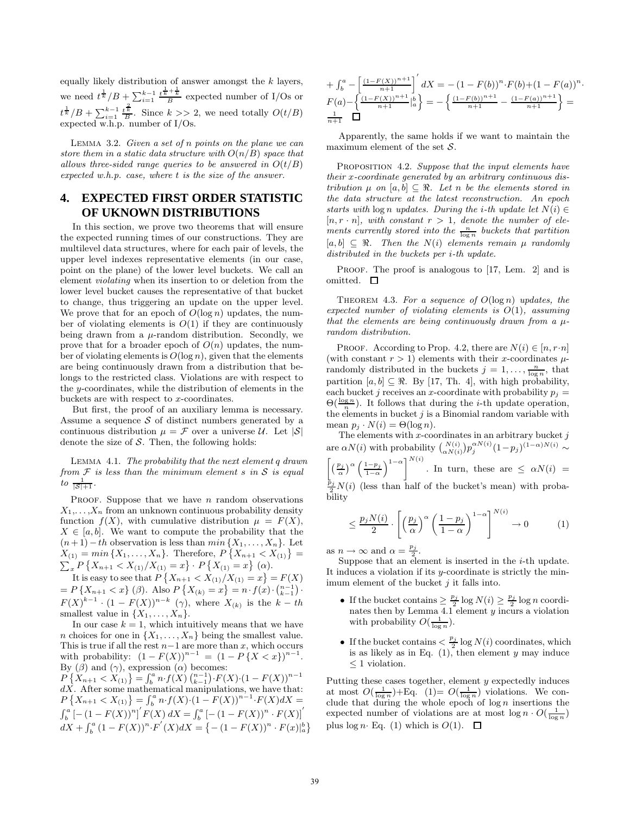equally likely distribution of answer amongst the  $k$  layers, we need  $t^{\frac{1}{k}}/B + \sum_{i=1}^{k-1} \frac{t^{\frac{1}{k} + \frac{1}{k}}}{B}$  expected number of I/Os or  $t^{\frac{1}{k}}/B + \sum_{i=1}^{k-1} \frac{t^{\frac{2}{k}}}{B}$ . Since  $k >> 2$ , we need totally  $O(t/B)$ expected w.h.p. number of I/Os.

Lemma 3.2. Given a set of n points on the plane we can store them in a static data structure with  $O(n/B)$  space that allows three-sided range queries to be answered in  $O(t/B)$ expected w.h.p. case, where t is the size of the answer.

# **4. EXPECTED FIRST ORDER STATISTIC OF UKNOWN DISTRIBUTIONS**

In this section, we prove two theorems that will ensure the expected running times of our constructions. They are multilevel data structures, where for each pair of levels, the upper level indexes representative elements (in our case, point on the plane) of the lower level buckets. We call an element violating when its insertion to or deletion from the lower level bucket causes the representative of that bucket to change, thus triggering an update on the upper level. We prove that for an epoch of  $O(\log n)$  updates, the number of violating elements is  $O(1)$  if they are continuously being drawn from a  $\mu$ -random distribution. Secondly, we prove that for a broader epoch of  $O(n)$  updates, the number of violating elements is  $O(\log n)$ , given that the elements are being continuously drawn from a distribution that belongs to the restricted class. Violations are with respect to the y-coordinates, while the distribution of elements in the buckets are with respect to x-coordinates.

But first, the proof of an auxiliary lemma is necessary. Assume a sequence  $\mathcal S$  of distinct numbers generated by a continuous distribution  $\mu = \mathcal{F}$  over a universe  $\mathcal{U}$ . Let  $|\mathcal{S}|$ denote the size of  $S$ . Then, the following holds:

LEMMA 4.1. The probability that the next element  $q$  drawn from  $\mathcal F$  is less than the minimum element s in  $\mathcal S$  is equal to  $\frac{1}{|\mathcal{S}|+1}$ .

PROOF. Suppose that we have  $n$  random observations  $X_1, \ldots, X_n$  from an unknown continuous probability density function  $f(X)$ , with cumulative distribution  $\mu = F(X)$ ,  $X \in [a, b]$ . We want to compute the probability that the  $(n+1)-th$  observation is less than  $min\{X_1,\ldots,X_n\}$ . Let  $X_{(1)} = min\{X_1, \ldots, X_n\}$ . Therefore,  $P\{X_{n+1} < X_{(1)}\} =$  $\sum_{x} P\left\{X_{n+1} < X_{(1)}/X_{(1)} = x\right\} \cdot P\left\{X_{(1)} = x\right\}$  ( $\alpha$ ).

It is easy to see that  $P\{X_{n+1} < X_{(1)}/X_{(1)} = x\} = F(X)$  $= P\{X_{n+1} < x\} \cdot (\beta)$ . Also  $P\{X_{(k)} = x\} = n \cdot f(x) \cdot \binom{n-1}{k-1}$ .  $F(X)^{k-1} \cdot (1 - F(X))^{n-k}$  ( $\gamma$ ), where  $X_{(k)}$  is the  $k-th$ smallest value in  $\{X_1, \ldots, X_n\}.$ 

In our case  $k = 1$ , which intuitively means that we have *n* choices for one in  $\{X_1, \ldots, X_n\}$  being the smallest value. This is true if all the rest  $n-1$  are more than x, which occurs with probability:  $(1 - F(X))^{n-1} = (1 - P(X \lt x))^{n-1}$ . By  $(\beta)$  and  $(\gamma)$ , expression  $(\alpha)$  becomes:  $P\left\{X_{n+1} < X_{(1)}\right\} = \int_b^a n \cdot f(X) \left(\binom{n-1}{k-1} \cdot F(X) \cdot (1 - F(X))\right)^{n-1}$ 

 $dX$ . After some mathematical manipulations, we have that:  $P\left\{X_{n+1} < X_{(1)}\right\} = \int_b^a n \cdot f(X) \cdot (1 - F(X))^{n-1} \cdot F(X) dX =$  $\int_b^a [-(1-F(X))^n]' F(X) dX = \int_b^a [-(1-F(X))^n \cdot F(X)]$  $dX + \int_b^a (1 - F(X))^n \cdot F'(X) dX = \{- (1 - F(X))^n \cdot F(x)|_a^b\}$ 

$$
+ \int_b^a - \left[ \frac{(1 - F(X))^{n+1}}{n+1} \right]' dX = -(1 - F(b))^n \cdot F(b) + (1 - F(a))^n
$$
  

$$
F(a) - \left\{ \frac{(1 - F(X))^{n+1}}{n+1} \Big|_a^b \right\} = - \left\{ \frac{(1 - F(b))^{n+1}}{n+1} - \frac{(1 - F(a))^{n+1}}{n+1} \right\} =
$$

Apparently, the same holds if we want to maintain the maximum element of the set  $S$ .

PROPOSITION 4.2. Suppose that the input elements have their x-coordinate generated by an arbitrary continuous distribution  $\mu$  on  $[a, b] \subseteq \Re$ . Let n be the elements stored in the data structure at the latest reconstruction. An epoch starts with log n updates. During the i-th update let  $N(i) \in$  $[n, r \cdot n]$ , with constant  $r > 1$ , denote the number of elements currently stored into the  $\frac{n}{\log n}$  buckets that partition  $[a, b] \subseteq \Re$ . Then the  $N(i)$  elements remain  $\mu$  randomly distributed in the buckets per i-th update.

PROOF. The proof is analogous to [17, Lem. 2] and is omitted.  $\square$ 

THEOREM 4.3. For a sequence of  $O(\log n)$  updates, the expected number of violating elements is  $O(1)$ , assuming that the elements are being continuously drawn from a  $\mu$ random distribution.

PROOF. According to Prop. 4.2, there are  $N(i) \in [n, r \cdot n]$ (with constant  $r > 1$ ) elements with their x-coordinates  $\mu$ randomly distributed in the buckets  $j = 1, \ldots, \frac{n}{\log n}$ , that partition [a, b]  $\subseteq$   $\Re$ . By [17, Th. 4], with high probability, each bucket j receives an x-coordinate with probability  $p_i =$  $\Theta(\frac{\log n}{n})$ . It follows that during the *i*-th update operation, the elements in bucket  $j$  is a Binomial random variable with mean  $p_j \cdot N(i) = \Theta(\log n)$ .

The elements with  $x$ -coordinates in an arbitrary bucket  $j$ are  $\alpha N(i)$  with probability  $\binom{N(i)}{\alpha N(i)} p_j^{\alpha N(i)} (1-p_j)^{(1-\alpha)N(i)} \sim$  $\left[\left(\frac{p_j}{\alpha}\right)^{\alpha}\left(\frac{1-p_j}{1-\alpha}\right)^{1-\alpha}\right]^{N(i)}$ . In turn, these are  $\leq \alpha N(i)$  =  $\frac{\bar{p}_j}{2}N(i)$  (less than half of the bucket's mean) with probability

$$
\leq \frac{p_j N(i)}{2} \cdot \left[ \left( \frac{p_j}{\alpha} \right)^{\alpha} \left( \frac{1 - p_j}{1 - \alpha} \right)^{1 - \alpha} \right]^{N(i)} \to 0 \tag{1}
$$

as  $n \to \infty$  and  $\alpha = \frac{p_j}{2}$ .

Suppose that an element is inserted in the i-th update. It induces a violation if its  $y$ -coordinate is strictly the minimum element of the bucket  $j$  it falls into.

- If the bucket contains  $\geq \frac{p_j}{2} \log N(i) \geq \frac{p_j}{2} \log n$  coordinates then by Lemma 4.1 element y incurs a violation with probability  $O(\frac{1}{\log n})$ .
- If the bucket contains  $\langle \frac{p_j}{2} \log N(i) \text{ coordinates, which} \rangle$ is as likely as in Eq.  $(1)$ , then element y may induce  $\leq 1$  violation.

Putting these cases together, element  $y$  expectedly induces at most  $O(\frac{1}{\log n}) + \text{Eq.}$  (1)=  $O(\frac{1}{\log n})$  violations. We conclude that during the whole epoch of  $\log n$  insertions the expected number of violations are at most  $\log n \cdot O(\frac{1}{\log n})$ plus  $\log n \cdot$  Eq. (1) which is  $O(1)$ .  $\Box$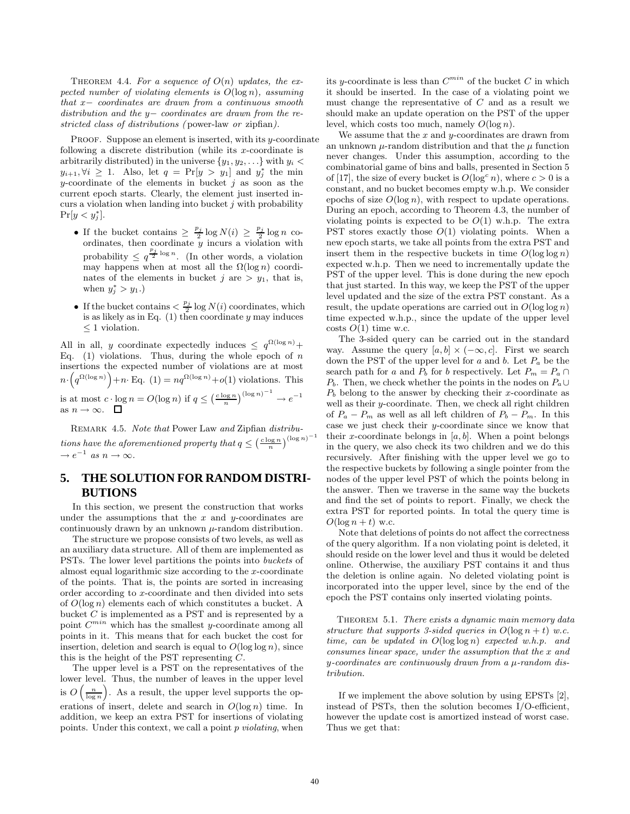THEOREM 4.4. For a sequence of  $O(n)$  updates, the expected number of violating elements is  $O(\log n)$ , assuming that x− coordinates are drawn from a continuous smooth distribution and the y− coordinates are drawn from the restricted class of distributions ( power-law or zipfian).

PROOF. Suppose an element is inserted, with its  $y$ -coordinate following a discrete distribution (while its  $x$ -coordinate is arbitrarily distributed) in the universe  $\{y_1, y_2, \ldots\}$  with  $y_i$  $y_{i+1}, \forall i \geq 1$ . Also, let  $q = \Pr[y > y_1]$  and  $y_j^*$  the min y-coordinate of the elements in bucket  $j$  as soon as the current epoch starts. Clearly, the element just inserted incurs a violation when landing into bucket  $j$  with probability  $Pr[y < y_j^*].$ 

- If the bucket contains  $\geq \frac{p_j}{2} \log N(i) \geq \frac{p_j}{2} \log n$  coordinates, then coordinate y incurs a violation with probability  $\leq q^{\frac{p_j}{2} \log n}$ . (In other words, a violation may happens when at most all the  $\Omega(\log n)$  coordinates of the elements in bucket j are  $>y_1$ , that is, when  $y_j^* > y_1$ .)
- If the bucket contains  $\frac{p_j}{2} \log N(i)$  coordinates, which is as likely as in Eq.  $(1)$  then coordinate y may induces ≤ 1 violation.

All in all, y coordinate expectedly induces  $\leq q^{\Omega(\log n)}$ + Eq.  $(1)$  violations. Thus, during the whole epoch of  $n$ insertions the expected number of violations are at most  $n \cdot (q^{\Omega(\log n)}) + n \cdot \text{Eq. (1)} = nq^{\Omega(\log n)} + o(1)$  violations. This is at most  $c \cdot \log n = O(\log n)$  if  $q \leq \left(\frac{c \log n}{n}\right)^{(\log n)^{-1}} \to e^{-1}$ as  $n \to \infty$ .  $\Box$ 

REMARK 4.5. Note that Power Law and Zipfian distributions have the aforementioned property that  $q \leq (\frac{c \log n}{n})^{(\log n)^{-1}}$  $\rightarrow e^{-1}$  as  $n \rightarrow \infty$ .

# **5. THE SOLUTION FOR RANDOM DISTRI-BUTIONS**

In this section, we present the construction that works under the assumptions that the  $x$  and  $y$ -coordinates are continuously drawn by an unknown  $\mu$ -random distribution.

The structure we propose consists of two levels, as well as an auxiliary data structure. All of them are implemented as PSTs. The lower level partitions the points into buckets of almost equal logarithmic size according to the x-coordinate of the points. That is, the points are sorted in increasing order according to x-coordinate and then divided into sets of  $O(\log n)$  elements each of which constitutes a bucket. A bucket  $C$  is implemented as a PST and is represented by a point  $C^{min}$  which has the smallest y-coordinate among all points in it. This means that for each bucket the cost for insertion, deletion and search is equal to  $O(\log \log n)$ , since this is the height of the PST representing C.

The upper level is a PST on the representatives of the lower level. Thus, the number of leaves in the upper level is  $O\left(\frac{n}{\log n}\right)$ . As a result, the upper level supports the operations of insert, delete and search in  $O(\log n)$  time. In addition, we keep an extra PST for insertions of violating points. Under this context, we call a point  $p$  *violating*, when

its y-coordinate is less than  $C^{min}$  of the bucket C in which it should be inserted. In the case of a violating point we must change the representative of  $C$  and as a result we should make an update operation on the PST of the upper level, which costs too much, namely  $O(\log n)$ .

We assume that the  $x$  and  $y$ -coordinates are drawn from an unknown  $\mu$ -random distribution and that the  $\mu$  function never changes. Under this assumption, according to the combinatorial game of bins and balls, presented in Section 5 of [17], the size of every bucket is  $O(\log^c n)$ , where  $c > 0$  is a constant, and no bucket becomes empty w.h.p. We consider epochs of size  $O(\log n)$ , with respect to update operations. During an epoch, according to Theorem 4.3, the number of violating points is expected to be  $O(1)$  w.h.p. The extra PST stores exactly those  $O(1)$  violating points. When a new epoch starts, we take all points from the extra PST and insert them in the respective buckets in time  $O(\log \log n)$ expected w.h.p. Then we need to incrementally update the PST of the upper level. This is done during the new epoch that just started. In this way, we keep the PST of the upper level updated and the size of the extra PST constant. As a result, the update operations are carried out in  $O(\log \log n)$ time expected w.h.p., since the update of the upper level costs  $O(1)$  time w.c.

The 3-sided query can be carried out in the standard way. Assume the query  $[a, b] \times (-\infty, c]$ . First we search down the PST of the upper level for a and b. Let  $P_a$  be the search path for a and  $P_b$  for b respectively. Let  $P_m = P_a \cap$  $P<sub>b</sub>$ . Then, we check whether the points in the nodes on  $P<sub>a</sub>$ ∪  $P<sub>b</sub>$  belong to the answer by checking their x-coordinate as well as their y-coordinate. Then, we check all right children of  $P_a - P_m$  as well as all left children of  $P_b - P_m$ . In this case we just check their y-coordinate since we know that their x-coordinate belongs in  $[a, b]$ . When a point belongs in the query, we also check its two children and we do this recursively. After finishing with the upper level we go to the respective buckets by following a single pointer from the nodes of the upper level PST of which the points belong in the answer. Then we traverse in the same way the buckets and find the set of points to report. Finally, we check the extra PST for reported points. In total the query time is  $O(\log n + t)$  w.c.

Note that deletions of points do not affect the correctness of the query algorithm. If a non violating point is deleted, it should reside on the lower level and thus it would be deleted online. Otherwise, the auxiliary PST contains it and thus the deletion is online again. No deleted violating point is incorporated into the upper level, since by the end of the epoch the PST contains only inserted violating points.

THEOREM 5.1. There exists a dynamic main memory data structure that supports 3-sided queries in  $O(\log n + t)$  w.c. time, can be updated in  $O(\log \log n)$  expected w.h.p. and consumes linear space, under the assumption that the x and y-coordinates are continuously drawn from a µ-random distribution.

If we implement the above solution by using EPSTs [2], instead of PSTs, then the solution becomes I/O-efficient, however the update cost is amortized instead of worst case. Thus we get that: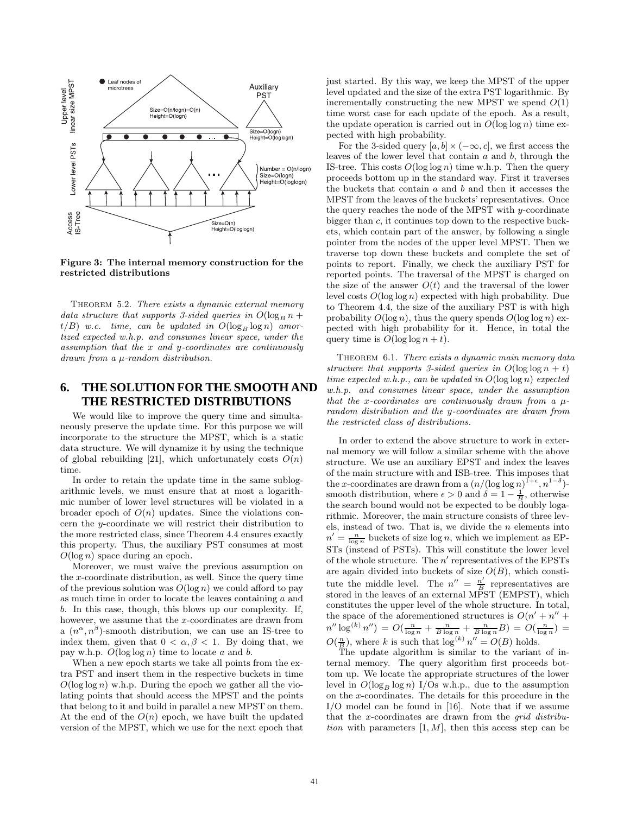

Figure 3: The internal memory construction for the restricted distributions

THEOREM 5.2. There exists a dynamic external memory data structure that supports 3-sided queries in  $O(\log_B n +$  $t/B$ ) w.c. time, can be updated in  $O(\log_B \log n)$  amortized expected w.h.p. and consumes linear space, under the assumption that the x and y-coordinates are continuously drawn from a µ-random distribution.

# **6. THE SOLUTION FOR THE SMOOTH AND THE RESTRICTED DISTRIBUTIONS**

We would like to improve the query time and simultaneously preserve the update time. For this purpose we will incorporate to the structure the MPST, which is a static data structure. We will dynamize it by using the technique of global rebuilding [21], which unfortunately costs  $O(n)$ time.

In order to retain the update time in the same sublogarithmic levels, we must ensure that at most a logarithmic number of lower level structures will be violated in a broader epoch of  $O(n)$  updates. Since the violations concern the y-coordinate we will restrict their distribution to the more restricted class, since Theorem 4.4 ensures exactly this property. Thus, the auxiliary PST consumes at most  $O(\log n)$  space during an epoch.

Moreover, we must waive the previous assumption on the x-coordinate distribution, as well. Since the query time of the previous solution was  $O(\log n)$  we could afford to pay as much time in order to locate the leaves containing a and b. In this case, though, this blows up our complexity. If, however, we assume that the x-coordinates are drawn from a  $(n^{\alpha}, n^{\beta})$ -smooth distribution, we can use an IS-tree to index them, given that  $0 < \alpha, \beta < 1$ . By doing that, we pay w.h.p.  $O(\log \log n)$  time to locate a and b.

When a new epoch starts we take all points from the extra PST and insert them in the respective buckets in time  $O(\log \log n)$  w.h.p. During the epoch we gather all the violating points that should access the MPST and the points that belong to it and build in parallel a new MPST on them. At the end of the  $O(n)$  epoch, we have built the updated version of the MPST, which we use for the next epoch that

just started. By this way, we keep the MPST of the upper level updated and the size of the extra PST logarithmic. By incrementally constructing the new MPST we spend  $O(1)$ time worst case for each update of the epoch. As a result, the update operation is carried out in  $O(\log \log n)$  time expected with high probability.

For the 3-sided query  $[a, b] \times (-\infty, c]$ , we first access the leaves of the lower level that contain  $a$  and  $b$ , through the IS-tree. This costs  $O(\log \log n)$  time w.h.p. Then the query proceeds bottom up in the standard way. First it traverses the buckets that contain  $a$  and  $b$  and then it accesses the MPST from the leaves of the buckets' representatives. Once the query reaches the node of the MPST with  $y$ -coordinate bigger than c, it continues top down to the respective buckets, which contain part of the answer, by following a single pointer from the nodes of the upper level MPST. Then we traverse top down these buckets and complete the set of points to report. Finally, we check the auxiliary PST for reported points. The traversal of the MPST is charged on the size of the answer  $O(t)$  and the traversal of the lower level costs  $O(\log \log n)$  expected with high probability. Due to Theorem 4.4, the size of the auxiliary PST is with high probability  $O(\log n)$ , thus the query spends  $O(\log \log n)$  expected with high probability for it. Hence, in total the query time is  $O(\log \log n + t)$ .

THEOREM 6.1. There exists a dynamic main memory data structure that supports 3-sided queries in  $O(\log \log n + t)$ time expected w.h.p., can be updated in  $O(\log \log n)$  expected w.h.p. and consumes linear space, under the assumption that the x-coordinates are continuously drawn from a  $\mu$ random distribution and the y-coordinates are drawn from the restricted class of distributions.

In order to extend the above structure to work in external memory we will follow a similar scheme with the above structure. We use an auxiliary EPST and index the leaves of the main structure with and ISB-tree. This imposes that the x-coordinates are drawn from a  $(n/(\log \log n)^{1+\epsilon}, n^{1-\delta})$ smooth distribution, where  $\epsilon > 0$  and  $\delta = 1 - \frac{1}{B}$ , otherwise the search bound would not be expected to be doubly logarithmic. Moreover, the main structure consists of three levels, instead of two. That is, we divide the  $n$  elements into  $n' = \frac{n}{\log n}$  buckets of size  $\log n$ , which we implement as EP-STs (instead of PSTs). This will constitute the lower level of the whole structure. The n' representatives of the EPSTs are again divided into buckets of size  $O(B)$ , which constitute the middle level. The  $n'' = \frac{n'}{B}$  $rac{n}{B}$  representatives are stored in the leaves of an external MPST (EMPST), which constitutes the upper level of the whole structure. In total, the space of the aforementioned structures is  $O(n' + n'' +$  $n'' \log^{(k)} n'') = O(\frac{n}{\log n} + \frac{n}{B \log n} + \frac{n}{B \log B}) = O(\frac{n}{\log n}) =$  $O(\frac{n}{B})$ , where k is such that  $\log^{(k)} n'' = O(B)$  holds.

The update algorithm is similar to the variant of internal memory. The query algorithm first proceeds bottom up. We locate the appropriate structures of the lower level in  $O(\log_B \log n)$  I/Os w.h.p., due to the assumption on the x-coordinates. The details for this procedure in the I/O model can be found in [16]. Note that if we assume that the x-coordinates are drawn from the grid distribution with parameters  $[1, M]$ , then this access step can be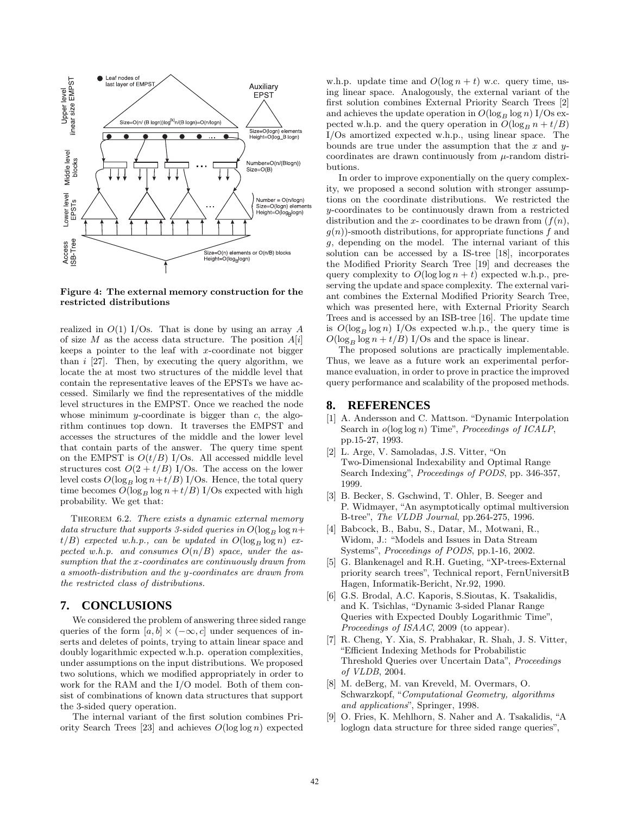

Figure 4: The external memory construction for the restricted distributions

realized in  $O(1)$  I/Os. That is done by using an array A of size  $M$  as the access data structure. The position  $A[i]$ keeps a pointer to the leaf with  $x$ -coordinate not bigger than  $i$  [27]. Then, by executing the query algorithm, we locate the at most two structures of the middle level that contain the representative leaves of the EPSTs we have accessed. Similarly we find the representatives of the middle level structures in the EMPST. Once we reached the node whose minimum *y*-coordinate is bigger than *c*, the algorithm continues top down. It traverses the EMPST and accesses the structures of the middle and the lower level that contain parts of the answer. The query time spent on the EMPST is  $O(t/B)$  I/Os. All accessed middle level structures cost  $O(2 + t/B)$  I/Os. The access on the lower level costs  $O(\log_B \log n+t/B)$  I/Os. Hence, the total query time becomes  $O(\log_B \log n + t/B)$  I/Os expected with high probability. We get that:

THEOREM 6.2. There exists a dynamic external memory data structure that supports 3-sided queries in  $O(\log_B \log n+$  $t/B$ ) expected w.h.p., can be updated in  $O(\log_B \log n)$  expected w.h.p. and consumes  $O(n/B)$  space, under the assumption that the x-coordinates are continuously drawn from a smooth-distribution and the y-coordinates are drawn from the restricted class of distributions.

## **7. CONCLUSIONS**

We considered the problem of answering three sided range queries of the form  $[a, b] \times (-\infty, c]$  under sequences of inserts and deletes of points, trying to attain linear space and doubly logarithmic expected w.h.p. operation complexities, under assumptions on the input distributions. We proposed two solutions, which we modified appropriately in order to work for the RAM and the I/O model. Both of them consist of combinations of known data structures that support the 3-sided query operation.

The internal variant of the first solution combines Priority Search Trees [23] and achieves  $O(\log \log n)$  expected

w.h.p. update time and  $O(\log n + t)$  w.c. query time, using linear space. Analogously, the external variant of the first solution combines External Priority Search Trees [2] and achieves the update operation in  $O(\log_B \log n)$  I/Os expected w.h.p. and the query operation in  $O(\log_B n + t/B)$ I/Os amortized expected w.h.p., using linear space. The bounds are true under the assumption that the  $x$  and  $y$ coordinates are drawn continuously from  $\mu$ -random distributions.

In order to improve exponentially on the query complexity, we proposed a second solution with stronger assumptions on the coordinate distributions. We restricted the y-coordinates to be continuously drawn from a restricted distribution and the x- coordinates to be drawn from  $(f(n),$  $g(n)$ -smooth distributions, for appropriate functions f and g, depending on the model. The internal variant of this solution can be accessed by a IS-tree [18], incorporates the Modified Priority Search Tree [19] and decreases the query complexity to  $O(\log \log n + t)$  expected w.h.p., preserving the update and space complexity. The external variant combines the External Modified Priority Search Tree, which was presented here, with External Priority Search Trees and is accessed by an ISB-tree [16]. The update time is  $O(\log_B \log n)$  I/Os expected w.h.p., the query time is  $O(\log_B \log n + t/B)$  I/Os and the space is linear.

The proposed solutions are practically implementable. Thus, we leave as a future work an experimental performance evaluation, in order to prove in practice the improved query performance and scalability of the proposed methods.

## **8. REFERENCES**

- [1] A. Andersson and C. Mattson. "Dynamic Interpolation Search in  $o(\log \log n)$  Time", Proceedings of ICALP, pp.15-27, 1993.
- [2] L. Arge, V. Samoladas, J.S. Vitter, "On Two-Dimensional Indexability and Optimal Range Search Indexing", Proceedings of PODS, pp. 346-357, 1999.
- [3] B. Becker, S. Gschwind, T. Ohler, B. Seeger and P. Widmayer, "An asymptotically optimal multiversion B-tree", The VLDB Journal, pp.264-275, 1996.
- [4] Babcock, B., Babu, S., Datar, M., Motwani, R., Widom, J.: "Models and Issues in Data Stream Systems", Proceedings of PODS, pp.1-16, 2002.
- [5] G. Blankenagel and R.H. Gueting, "XP-trees-External priority search trees", Technical report, FernUniversitB Hagen, Informatik-Bericht, Nr.92, 1990.
- [6] G.S. Brodal, A.C. Kaporis, S.Sioutas, K. Tsakalidis, and K. Tsichlas, "Dynamic 3-sided Planar Range Queries with Expected Doubly Logarithmic Time", Proceedings of ISAAC, 2009 (to appear).
- [7] R. Cheng, Y. Xia, S. Prabhakar, R. Shah, J. S. Vitter, "Efficient Indexing Methods for Probabilistic Threshold Queries over Uncertain Data", Proceedings of VLDB, 2004.
- [8] M. deBerg, M. van Kreveld, M. Overmars, O. Schwarzkopf, "Computational Geometry, algorithms and applications", Springer, 1998.
- [9] O. Fries, K. Mehlhorn, S. Naher and A. Tsakalidis, "A loglogn data structure for three sided range queries",